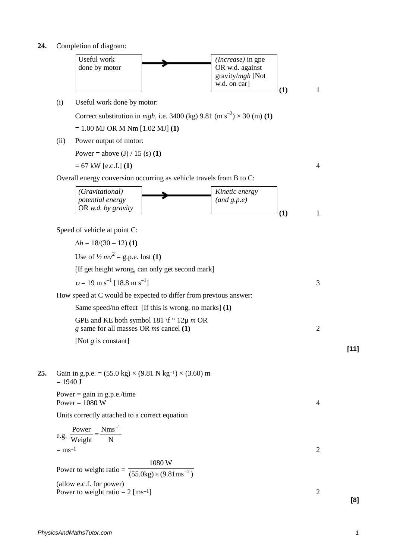**24.** Completion of diagram:

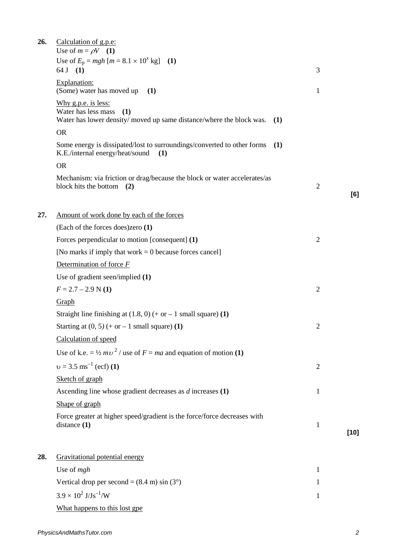| 26. | Calculation of g.p.e:<br>Use of $m = \rho V$ (1)                                                                                |                |        |
|-----|---------------------------------------------------------------------------------------------------------------------------------|----------------|--------|
|     | Use of $E_p = mgh$ [ $m = 8.1 \times 10^x$ kg]<br>(1)<br>64 J (1)                                                               | 3              |        |
|     | Explanation:<br>(Some) water has moved up<br>(1)                                                                                | 1              |        |
|     | Why g.p.e. is less:<br>Water has less mass<br>(1)<br>Water has lower density/moved up same distance/where the block was.<br>(1) |                |        |
|     | <b>OR</b>                                                                                                                       |                |        |
|     | Some energy is dissipated/lost to surroundings/converted to other forms<br>(1)<br>K.E./internal energy/heat/sound<br>(1)        |                |        |
|     | <b>OR</b>                                                                                                                       |                |        |
|     | Mechanism: via friction or drag/because the block or water accelerates/as<br>block hits the bottom $(2)$                        | $\overline{2}$ | [6]    |
|     |                                                                                                                                 |                |        |
| 27. | Amount of work done by each of the forces                                                                                       |                |        |
|     | (Each of the forces does)zero (1)                                                                                               |                |        |
|     | Forces perpendicular to motion [consequent] (1)                                                                                 | $\overline{2}$ |        |
|     | [No marks if imply that work $= 0$ because forces cancel]                                                                       |                |        |
|     | Determination of force $F$                                                                                                      |                |        |
|     | Use of gradient seen/implied (1)                                                                                                |                |        |
|     | $F = 2.7 - 2.9$ N (1)                                                                                                           | $\mathfrak{2}$ |        |
|     | Graph                                                                                                                           |                |        |
|     | Straight line finishing at $(1.8, 0)$ (+ or – 1 small square) (1)                                                               |                |        |
|     | Starting at $(0, 5)$ (+ or – 1 small square) (1)                                                                                | $\overline{2}$ |        |
|     | Calculation of speed                                                                                                            |                |        |
|     | Use of k.e. = $\frac{1}{2}mv^2$ / use of $F = ma$ and equation of motion (1)                                                    |                |        |
|     | $v = 3.5$ ms <sup>-1</sup> (ecf) (1)                                                                                            | $\overline{2}$ |        |
|     | Sketch of graph                                                                                                                 |                |        |
|     | Ascending line whose gradient decreases as $d$ increases $(1)$                                                                  | 1              |        |
|     | Shape of graph                                                                                                                  |                |        |
|     | Force greater at higher speed/gradient is the force/force decreases with<br>distance $(1)$                                      | $\mathbf{1}$   |        |
|     |                                                                                                                                 |                | $[10]$ |
| 28. | Gravitational potential energy                                                                                                  |                |        |
|     | Use of $mgh$                                                                                                                    | 1              |        |
|     | Vertical drop per second = $(8.4 \text{ m}) \sin (3^{\circ})$                                                                   | 1              |        |
|     | $3.9 \times 10^2$ J/Js <sup>-1</sup> /W                                                                                         | 1              |        |
|     |                                                                                                                                 |                |        |

What happens to this lost gpe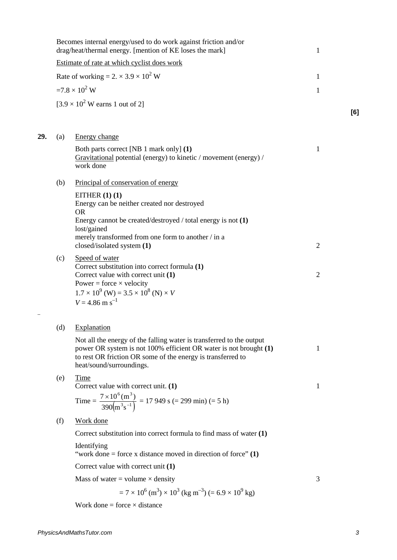|     |     | Becomes internal energy/used to do work against friction and/or<br>drag/heat/thermal energy. [mention of KE loses the mark]                                                                                                          | 1              |     |
|-----|-----|--------------------------------------------------------------------------------------------------------------------------------------------------------------------------------------------------------------------------------------|----------------|-----|
|     |     | Estimate of rate at which cyclist does work                                                                                                                                                                                          |                |     |
|     |     | Rate of working = $2. \times 3.9 \times 10^2$ W                                                                                                                                                                                      | 1              |     |
|     |     | $=7.8 \times 10^2$ W                                                                                                                                                                                                                 | $\mathbf{1}$   |     |
|     |     | $[3.9 \times 10^2$ W earns 1 out of 2]                                                                                                                                                                                               |                |     |
|     |     |                                                                                                                                                                                                                                      |                | [6] |
| 29. | (a) | Energy change                                                                                                                                                                                                                        |                |     |
|     |     | Both parts correct [NB 1 mark only] (1)<br>Gravitational potential (energy) to kinetic / movement (energy) /<br>work done                                                                                                            | 1              |     |
|     | (b) | Principal of conservation of energy                                                                                                                                                                                                  |                |     |
|     |     | EITHER $(1)$ $(1)$<br>Energy can be neither created nor destroyed<br><b>OR</b>                                                                                                                                                       |                |     |
|     |     | Energy cannot be created/destroyed / total energy is not $(1)$<br>lost/gained<br>merely transformed from one form to another / in a                                                                                                  |                |     |
|     |     | closed/isolated system (1)                                                                                                                                                                                                           | $\overline{2}$ |     |
|     | (c) | Speed of water<br>Correct substitution into correct formula (1)<br>Correct value with correct unit (1)<br>Power = force $\times$ velocity                                                                                            | $\overline{2}$ |     |
|     |     | $1.7 \times 10^{9}$ (W) = $3.5 \times 10^{8}$ (N) $\times V$<br>$V = 4.86$ m s <sup>-1</sup>                                                                                                                                         |                |     |
|     | (d) | Explanation                                                                                                                                                                                                                          |                |     |
|     |     | Not all the energy of the falling water is transferred to the output<br>power OR system is not 100% efficient OR water is not brought (1)<br>to rest OR friction OR some of the energy is transferred to<br>heat/sound/surroundings. | 1              |     |
|     | (e) | Time<br>Correct value with correct unit. (1)                                                                                                                                                                                         | 1              |     |
|     |     | Time = $\frac{7 \times 10^6 \text{(m}^3)}{390 \text{(m}^3 \text{s}^{-1})}$ = 17 949 s (= 299 min) (= 5 h)                                                                                                                            |                |     |
|     | (f) | Work done                                                                                                                                                                                                                            |                |     |
|     |     | Correct substitution into correct formula to find mass of water $(1)$                                                                                                                                                                |                |     |
|     |     | Identifying<br>"work done = force x distance moved in direction of force" $(1)$                                                                                                                                                      |                |     |
|     |     | Correct value with correct unit (1)                                                                                                                                                                                                  |                |     |
|     |     | Mass of water = volume $\times$ density                                                                                                                                                                                              | 3              |     |
|     |     | $= 7 \times 10^{6}$ (m <sup>3</sup> ) $\times 10^{3}$ (kg m <sup>-3</sup> ) (= 6.9 $\times 10^{9}$ kg)                                                                                                                               |                |     |
|     |     | Work done = force $\times$ distance                                                                                                                                                                                                  |                |     |
|     |     |                                                                                                                                                                                                                                      |                |     |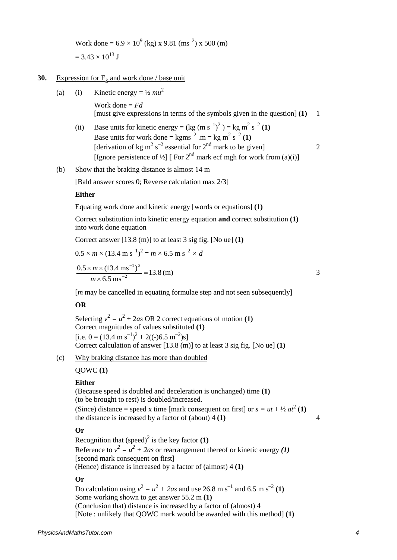Work done =  $6.9 \times 10^{9}$  (kg) x 9.81 (ms<sup>-2</sup>) x 500 (m)  $= 3.43 \times 10^{13}$  J

# **30.** Expression for  $E_k$  and work done / base unit

(a) (i) Kinetic energy =  $\frac{1}{2}mu^2$ 

Work done = *Fd* [must give expressions in terms of the symbols given in the question] **(1)** 1

(ii) Base units for kinetic energy =  $(\text{kg (m s<sup>-1</sup>)<sup>2</sup>) = \text{kg m}<sup>2</sup> s<sup>-2</sup> (1)$ Base units for work done =  $kgms^{-2}$  .m =  $kg m^2 s^{-2} (1)$ [derivation of kg m<sup>2</sup> s<sup>-2</sup> essential for  $2<sup>nd</sup>$  mark to be given] 2 [Ignore persistence of <sup>1</sup>/2] [ For  $2<sup>nd</sup>$  mark ecf mgh for work from (a)(i)]

#### (b) Show that the braking distance is almost 14 m

[Bald answer scores 0; Reverse calculation max 2/3]

#### **Either**

Equating work done and kinetic energy [words or equations] **(1)**

Correct substitution into kinetic energy equation **and** correct substitution **(1)** into work done equation

Correct answer [13.8 (m)] to at least 3 sig fig. [No ue] **(1)**

$$
0.5 \times m \times (13.4 \text{ m s}^{-1})^2 = m \times 6.5 \text{ m s}^{-2} \times d
$$
  

$$
\frac{0.5 \times m \times (13.4 \text{ m s}^{-1})^2}{m \times 6.5 \text{ m s}^{-2}} = 13.8 \text{ (m)}
$$

[*m* may be cancelled in equating formulae step and not seen subsequently]

## **OR**

Selecting  $v^2 = u^2 + 2as \text{ OR } 2$  correct equations of motion **(1)** Correct magnitudes of values substituted **(1)** [i.e. 0 =  $(13.4 \text{ m s}^{-1})^2 + 2((-)6.5 \text{ m}^{-2})\text{s}$ ] Correct calculation of answer [13.8 (m)] to at least 3 sig fig. [No ue] **(1)**

## (c) Why braking distance has more than doubled

QOWC **(1)**

#### **Either**

(Because speed is doubled and deceleration is unchanged) time **(1)** (to be brought to rest) is doubled/increased. (Since) distance = speed x time [mark consequent on first] or  $s = ut + \frac{1}{2}at^2$  (1) the distance is increased by a factor of (about) 4 **(1)** 4

### **Or**

Recognition that  $(\text{speed})^2$  is the key factor  $(1)$ Reference to  $v^2 = u^2 + 2as$  or rearrangement thereof or kinetic energy (1) [second mark consequent on first] (Hence) distance is increased by a factor of (almost) 4 **(1)**

## **Or**

Do calculation using  $v^2 = u^2 + 2as$  and use 26.8 m s<sup>-1</sup> and 6.5 m s<sup>-2</sup> (1) Some working shown to get answer 55.2 m **(1)** (Conclusion that) distance is increased by a factor of (almost) 4 [Note : unlikely that QOWC mark would be awarded with this method] **(1)**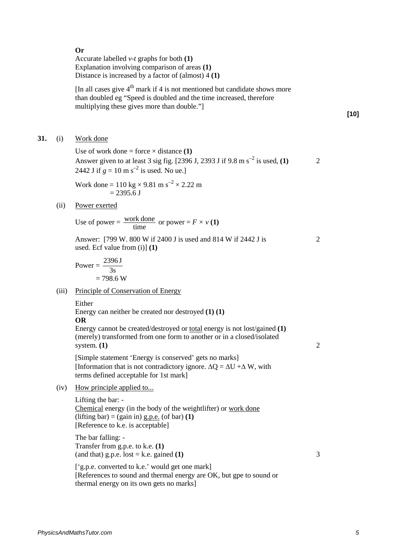#### **Or**

Accurate labelled *v-t* graphs for both **(1)** Explanation involving comparison of areas **(1)** Distance is increased by a factor of (almost) 4 **(1)**

[In all cases give  $4<sup>th</sup>$  mark if 4 is not mentioned but candidate shows more than doubled eg "Speed is doubled and the time increased, therefore multiplying these gives more than double."]

## **[10]**

**31.** (i) Work done

Use of work done = force  $\times$  distance **(1)** Answer given to at least 3 sig fig. [2396 J, 2393 J if 9.8 m s<sup>-2</sup> is used, **(1)** 2 2442 J if  $g = 10 \text{ m s}^{-2}$  is used. No ue.]

Work done = 
$$
110 \text{ kg} \times 9.81 \text{ m s}^{-2} \times 2.22 \text{ m}
$$
  
= 2395.6 J

(ii) Power exerted

Use of power = 
$$
\frac{\text{work done}}{\text{time}}
$$
 or power =  $F \times v(1)$ 

Answer: [799 W. 800 W if 2400 J is used and 814 W if 2442 J is 2 used. Ecf value from (i)] **(1)**

$$
\overline{2}
$$

Power =  $\frac{253}{3s}$ 2396 J  $= 798.6 W$ 

(iii) Principle of Conservation of Energy

# Either

Energy can neither be created nor destroyed **(1) (1)**

# **OR**

Energy cannot be created/destroyed or total energy is not lost/gained **(1)** (merely) transformed from one form to another or in a closed/isolated system. **(1)** 2

[Simple statement 'Energy is conserved' gets no marks] [Information that is not contradictory ignore.  $\Delta Q = \Delta U + \Delta W$ , with terms defined acceptable for 1st mark]

(iv) How principle applied to...

Lifting the bar: - Chemical energy (in the body of the weightlifter) or work done  $(lifting bar) = (gain in) g.p.e. (of bar) (1)$ [Reference to k.e. is acceptable]

The bar falling: - Transfer from g.p.e. to k.e. **(1)** (and that) g.p.e.  $lost = k.e.$  gained **(1)**  $\qquad \qquad$  3

['g.p.e. converted to k.e.' would get one mark] [References to sound and thermal energy are OK, but gpe to sound or thermal energy on its own gets no marks]